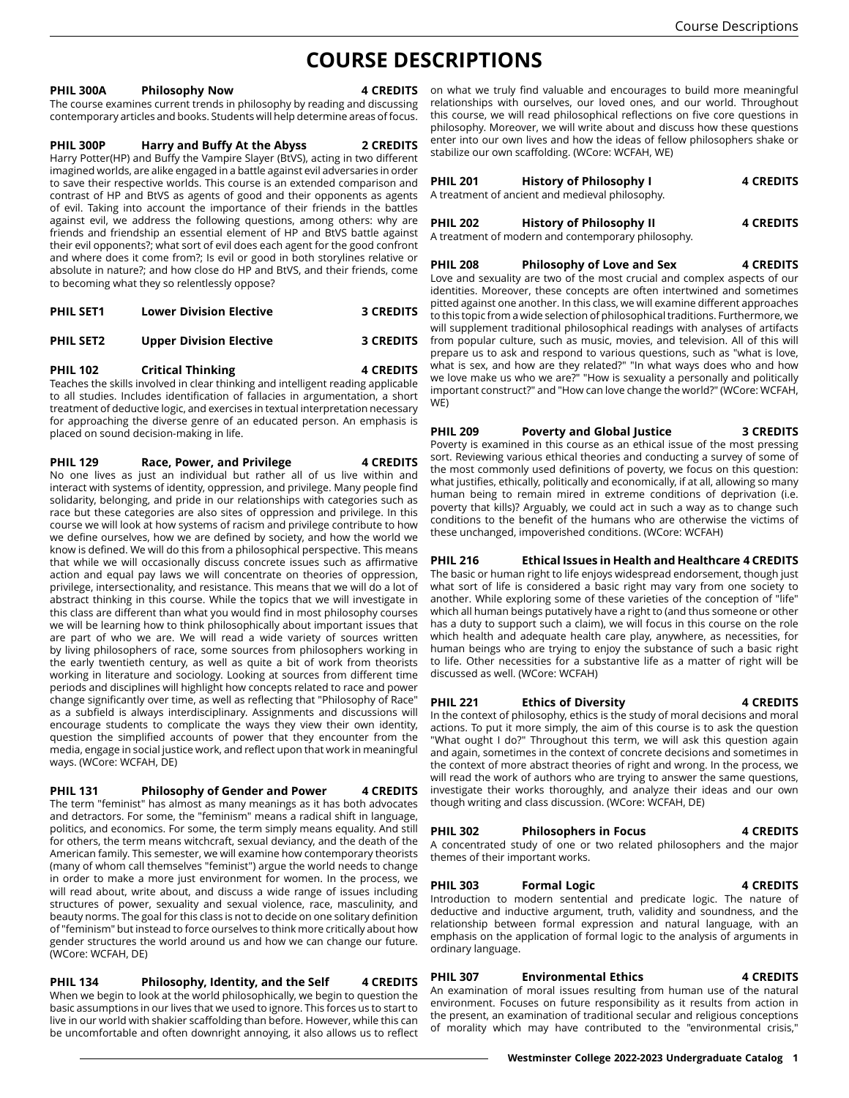# **COURSE DESCRIPTIONS**

#### **PHIL 300A Philosophy Now**

The course examines current trends in philosophy by reading and discussing contemporary articles and books. Students will help determine areas of focus.

### **PHIL 300P Harry and Buffy At the Abyss 2 CREDITS**

Harry Potter(HP) and Buffy the Vampire Slayer (BtVS), acting in two different imagined worlds, are alike engaged in a battle against evil adversaries in order to save their respective worlds. This course is an extended comparison and contrast of HP and BtVS as agents of good and their opponents as agents of evil. Taking into account the importance of their friends in the battles against evil, we address the following questions, among others: why are friends and friendship an essential element of HP and BtVS battle against their evil opponents?; what sort of evil does each agent for the good confront and where does it come from?; Is evil or good in both storylines relative or absolute in nature?; and how close do HP and BtVS, and their friends, come to becoming what they so relentlessly oppose?

| <b>PHIL SET1</b> | <b>Lower Division Elective</b> | <b>3 CREDITS</b> |
|------------------|--------------------------------|------------------|
|                  |                                |                  |

**PHIL SET2 Upper Division Elective 3 CREDITS**

#### **PHIL 102 Critical Thinking 4 CREDITS**

Teaches the skills involved in clear thinking and intelligent reading applicable to all studies. Includes identification of fallacies in argumentation, a short treatment of deductive logic, and exercises in textual interpretation necessary for approaching the diverse genre of an educated person. An emphasis is placed on sound decision-making in life.

#### **PHIL 129 Race, Power, and Privilege 4 CREDITS**

No one lives as just an individual but rather all of us live within and interact with systems of identity, oppression, and privilege. Many people find solidarity, belonging, and pride in our relationships with categories such as race but these categories are also sites of oppression and privilege. In this course we will look at how systems of racism and privilege contribute to how we define ourselves, how we are defined by society, and how the world we know is defined. We will do this from a philosophical perspective. This means that while we will occasionally discuss concrete issues such as affirmative action and equal pay laws we will concentrate on theories of oppression, privilege, intersectionality, and resistance. This means that we will do a lot of abstract thinking in this course. While the topics that we will investigate in this class are different than what you would find in most philosophy courses we will be learning how to think philosophically about important issues that are part of who we are. We will read a wide variety of sources written by living philosophers of race, some sources from philosophers working in the early twentieth century, as well as quite a bit of work from theorists working in literature and sociology. Looking at sources from different time periods and disciplines will highlight how concepts related to race and power change significantly over time, as well as reflecting that "Philosophy of Race" as a subfield is always interdisciplinary. Assignments and discussions will encourage students to complicate the ways they view their own identity, question the simplified accounts of power that they encounter from the media, engage in social justice work, and reflect upon that work in meaningful ways. (WCore: WCFAH, DE)

## **PHIL 131 Philosophy of Gender and Power 4 CREDITS**

The term "feminist" has almost as many meanings as it has both advocates and detractors. For some, the "feminism" means a radical shift in language, politics, and economics. For some, the term simply means equality. And still for others, the term means witchcraft, sexual deviancy, and the death of the American family. This semester, we will examine how contemporary theorists (many of whom call themselves "feminist") argue the world needs to change in order to make a more just environment for women. In the process, we will read about, write about, and discuss a wide range of issues including structures of power, sexuality and sexual violence, race, masculinity, and beauty norms. The goal for this class is not to decide on one solitary definition of "feminism" but instead to force ourselves to think more critically about how gender structures the world around us and how we can change our future. (WCore: WCFAH, DE)

#### **PHIL 134 Philosophy, Identity, and the Self 4 CREDITS** When we begin to look at the world philosophically, we begin to question the basic assumptions in our lives that we used to ignore. This forces us to start to live in our world with shakier scaffolding than before. However, while this can

be uncomfortable and often downright annoying, it also allows us to reflect

4 CREDITS on what we truly find valuable and encourages to build more meaningful relationships with ourselves, our loved ones, and our world. Throughout this course, we will read philosophical reflections on five core questions in philosophy. Moreover, we will write about and discuss how these questions enter into our own lives and how the ideas of fellow philosophers shake or stabilize our own scaffolding. (WCore: WCFAH, WE)

| <b>PHIL 201</b> | History of Philosophy I<br>A treatment of ancient and medieval philosophy. | <b>4 CREDITS</b> |
|-----------------|----------------------------------------------------------------------------|------------------|
| <b>PHIL 202</b> | <b>History of Philosophy II</b>                                            | <b>4 CREDITS</b> |
|                 | A treatment of modern and contemporary philosophy.                         |                  |

**PHIL 208 Philosophy of Love and Sex 4 CREDITS** Love and sexuality are two of the most crucial and complex aspects of our identities. Moreover, these concepts are often intertwined and sometimes pitted against one another. In this class, we will examine different approaches to this topic from a wide selection of philosophical traditions. Furthermore, we will supplement traditional philosophical readings with analyses of artifacts from popular culture, such as music, movies, and television. All of this will prepare us to ask and respond to various questions, such as "what is love, what is sex, and how are they related?" "In what ways does who and how we love make us who we are?" "How is sexuality a personally and politically important construct?" and "How can love change the world?" (WCore: WCFAH, WE)

#### **PHIL 209 Poverty and Global Justice 3 CREDITS** Poverty is examined in this course as an ethical issue of the most pressing sort. Reviewing various ethical theories and conducting a survey of some of the most commonly used definitions of poverty, we focus on this question: what justifies, ethically, politically and economically, if at all, allowing so many human being to remain mired in extreme conditions of deprivation (i.e. poverty that kills)? Arguably, we could act in such a way as to change such conditions to the benefit of the humans who are otherwise the victims of these unchanged, impoverished conditions. (WCore: WCFAH)

## **PHIL 216 Ethical Issues in Health and Healthcare 4 CREDITS**

The basic or human right to life enjoys widespread endorsement, though just what sort of life is considered a basic right may vary from one society to another. While exploring some of these varieties of the conception of "life" which all human beings putatively have a right to (and thus someone or other has a duty to support such a claim), we will focus in this course on the role which health and adequate health care play, anywhere, as necessities, for human beings who are trying to enjoy the substance of such a basic right to life. Other necessities for a substantive life as a matter of right will be discussed as well. (WCore: WCFAH)

## **PHIL 221 Ethics of Diversity 4 CREDITS**

In the context of philosophy, ethics is the study of moral decisions and moral actions. To put it more simply, the aim of this course is to ask the question "What ought I do?" Throughout this term, we will ask this question again and again, sometimes in the context of concrete decisions and sometimes in the context of more abstract theories of right and wrong. In the process, we will read the work of authors who are trying to answer the same questions, investigate their works thoroughly, and analyze their ideas and our own though writing and class discussion. (WCore: WCFAH, DE)

## **PHIL 302 Philosophers in Focus 4 CREDITS**

A concentrated study of one or two related philosophers and the major themes of their important works.

## **PHIL 303 Formal Logic 4 CREDITS**

Introduction to modern sentential and predicate logic. The nature of deductive and inductive argument, truth, validity and soundness, and the relationship between formal expression and natural language, with an emphasis on the application of formal logic to the analysis of arguments in ordinary language.

**PHIL 307 Environmental Ethics 4 CREDITS** An examination of moral issues resulting from human use of the natural environment. Focuses on future responsibility as it results from action in the present, an examination of traditional secular and religious conceptions of morality which may have contributed to the "environmental crisis,"